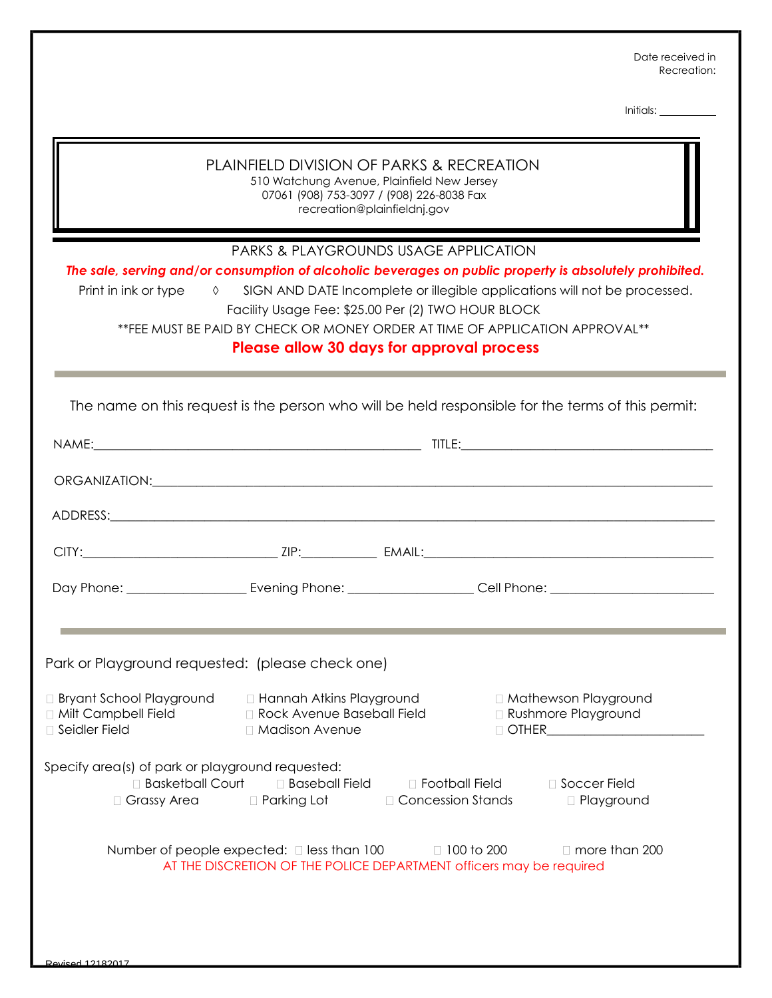Date received in Recreation:

Initials:

| PLAINFIELD DIVISION OF PARKS & RECREATION<br>510 Watchung Avenue, Plainfield New Jersey<br>07061 (908) 753-3097 / (908) 226-8038 Fax<br>recreation@plainfieldnj.gov<br><b>PARKS &amp; PLAYGROUNDS USAGE APPLICATION</b><br>The sale, serving and/or consumption of alcoholic beverages on public property is absolutely prohibited.<br>Print in ink or type<br>SIGN AND DATE Incomplete or illegible applications will not be processed.<br>$\Diamond$<br>Facility Usage Fee: \$25.00 Per (2) TWO HOUR BLOCK<br>**FEE MUST BE PAID BY CHECK OR MONEY ORDER AT TIME OF APPLICATION APPROVAL**<br>Please allow 30 days for approval process |                                                                                                                                                                                                                                                |                                                         |                                                                                                                           |
|-------------------------------------------------------------------------------------------------------------------------------------------------------------------------------------------------------------------------------------------------------------------------------------------------------------------------------------------------------------------------------------------------------------------------------------------------------------------------------------------------------------------------------------------------------------------------------------------------------------------------------------------|------------------------------------------------------------------------------------------------------------------------------------------------------------------------------------------------------------------------------------------------|---------------------------------------------------------|---------------------------------------------------------------------------------------------------------------------------|
|                                                                                                                                                                                                                                                                                                                                                                                                                                                                                                                                                                                                                                           |                                                                                                                                                                                                                                                |                                                         | The name on this request is the person who will be held responsible for the terms of this permit:                         |
|                                                                                                                                                                                                                                                                                                                                                                                                                                                                                                                                                                                                                                           |                                                                                                                                                                                                                                                |                                                         |                                                                                                                           |
|                                                                                                                                                                                                                                                                                                                                                                                                                                                                                                                                                                                                                                           |                                                                                                                                                                                                                                                |                                                         |                                                                                                                           |
|                                                                                                                                                                                                                                                                                                                                                                                                                                                                                                                                                                                                                                           |                                                                                                                                                                                                                                                |                                                         |                                                                                                                           |
|                                                                                                                                                                                                                                                                                                                                                                                                                                                                                                                                                                                                                                           |                                                                                                                                                                                                                                                |                                                         |                                                                                                                           |
|                                                                                                                                                                                                                                                                                                                                                                                                                                                                                                                                                                                                                                           |                                                                                                                                                                                                                                                |                                                         |                                                                                                                           |
| Park or Playground requested: (please check one)<br><b>Bryant School Playground</b><br><b>D</b> Milt Campbell Field<br>□ Seidler Field<br>Specify area(s) of park or playground requested:<br>□ Basketball Court<br>Grassy Area                                                                                                                                                                                                                                                                                                                                                                                                           | □ Hannah Atkins Playground<br>Rock Avenue Baseball Field<br>□ Madison Avenue<br>□ Baseball Field<br>□ Parking Lot<br>Number of people expected: $\square$ less than 100<br>AT THE DISCRETION OF THE POLICE DEPARTMENT officers may be required | □ Football Field<br>□ Concession Stands<br>□ 100 to 200 | □ Mathewson Playground<br>□ Rushmore Playground<br>$\Box$ OTHER<br>□ Soccer Field<br>□ Playground<br>$\Box$ more than 200 |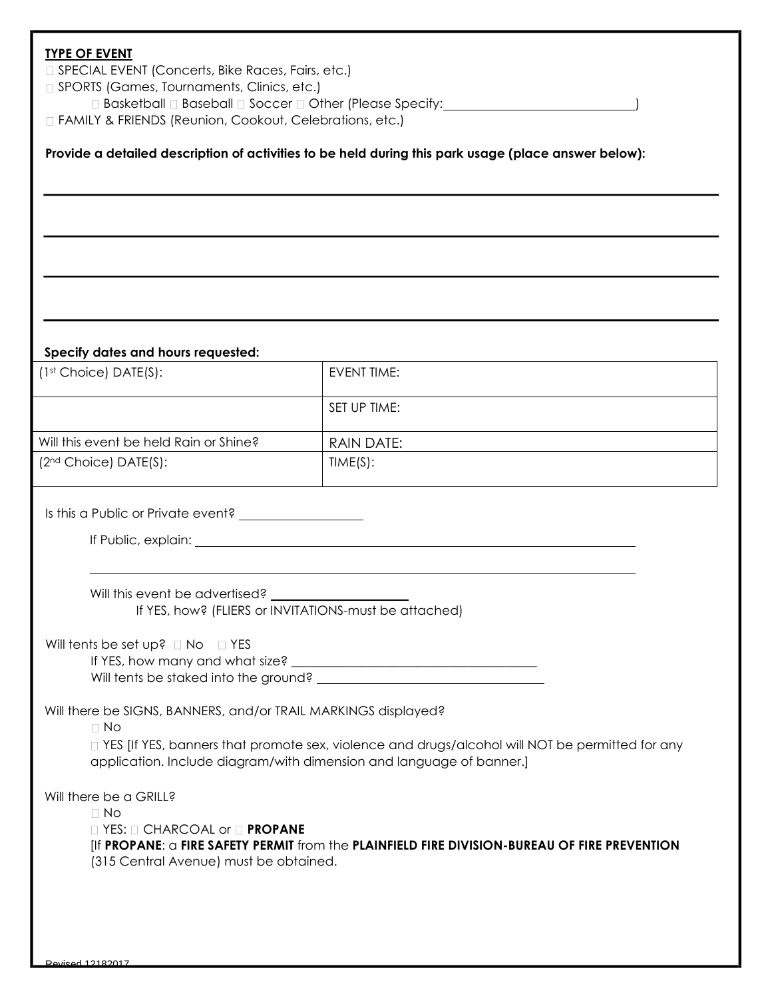## **TYPE OF EVENT**

□ SPECIAL EVENT (Concerts, Bike Races, Fairs, etc.)

□ SPORTS (Games, Tournaments, Clinics, etc.)

□ Basketball □ Baseball □ Soccer □ Other (Please Specify: <u>)</u>

FAMILY & FRIENDS (Reunion, Cookout, Celebrations, etc.)

## **Provide a detailed description of activities to be held during this park usage (place answer below):**

## **Specify dates and hours requested:**

| $(1st Choice) DATE(S):$                | EVENT TIME:  |
|----------------------------------------|--------------|
|                                        | SET UP TIME: |
| Will this event be held Rain or Shine? | RAIN DATE:   |
| (2 <sup>nd</sup> Choice) DATE(S):      | TIME(S):     |

Is this a Public or Private event?

If Public, explain:

Will this event be advertised? If YES, how? (FLIERS or INVITATIONS-must be attached)

Will tents be set up?  $\Box$  No  $\Box$  YES

If YES, how many and what size? Will tents be staked into the ground?

Will there be SIGNS, BANNERS, and/or TRAIL MARKINGS displayed?

 $\n **No**\n$ 

□ YES [If YES, banners that promote sex, violence and drugs/alcohol will NOT be permitted for any application. Include diagram/with dimension and language of banner.]

Will there be a GRILL?

 $\Box$  No

□ YES: □ CHARCOAL or □ **PROPANE** 

[If **PROPANE**: a **FIRE SAFETY PERMIT** from the **PLAINFIELD FIRE DIVISION-BUREAU OF FIRE PREVENTION** (315 Central Avenue) must be obtained.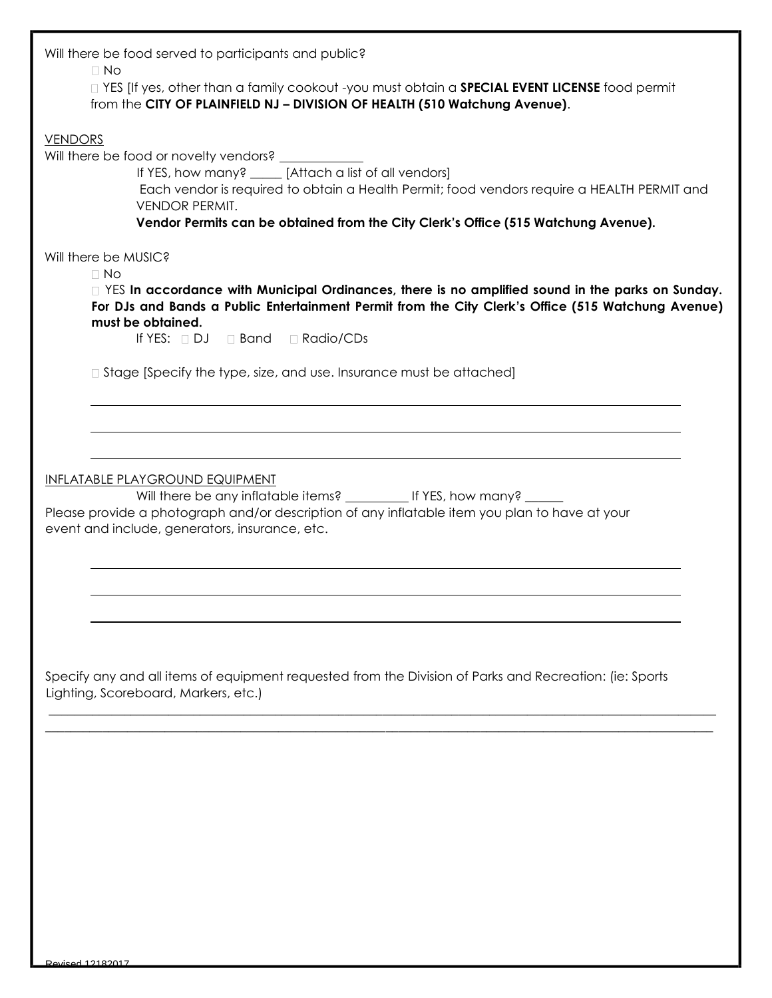| Will there be food served to participants and public?<br>$\Box$ No<br>□ YES [If yes, other than a family cookout -you must obtain a <b>SPECIAL EVENT LICENSE</b> food permit<br>from the CITY OF PLAINFIELD NJ - DIVISION OF HEALTH (510 Watchung Avenue).                                   |
|----------------------------------------------------------------------------------------------------------------------------------------------------------------------------------------------------------------------------------------------------------------------------------------------|
| <b>VENDORS</b><br>If YES, how many? _____ [Attach a list of all vendors]<br>Each vendor is required to obtain a Health Permit; food vendors require a HEALTH PERMIT and<br><b>VENDOR PERMIT.</b><br>Vendor Permits can be obtained from the City Clerk's Office (515 Watchung Avenue).       |
| Will there be MUSIC?                                                                                                                                                                                                                                                                         |
| $\Box$ No<br>□ YES In accordance with Municipal Ordinances, there is no amplified sound in the parks on Sunday.<br>For DJs and Bands a Public Entertainment Permit from the City Clerk's Office (515 Watchung Avenue)<br>must be obtained.<br>If YES: $\Box$ DJ $\Box$ Band $\Box$ Radio/CDs |
| $\Box$ Stage [Specify the type, size, and use. Insurance must be attached]                                                                                                                                                                                                                   |
| <b>INFLATABLE PLAYGROUND EQUIPMENT</b><br>Will there be any inflatable items? _____________ If YES, how many? ______                                                                                                                                                                         |
| Please provide a photograph and/or description of any inflatable item you plan to have at your<br>event and include, generators, insurance, etc.                                                                                                                                             |
|                                                                                                                                                                                                                                                                                              |
| Specify any and all items of equipment requested from the Division of Parks and Recreation: (ie: Sports<br>Lighting, Scoreboard, Markers, etc.)                                                                                                                                              |
|                                                                                                                                                                                                                                                                                              |
|                                                                                                                                                                                                                                                                                              |
|                                                                                                                                                                                                                                                                                              |
|                                                                                                                                                                                                                                                                                              |
|                                                                                                                                                                                                                                                                                              |